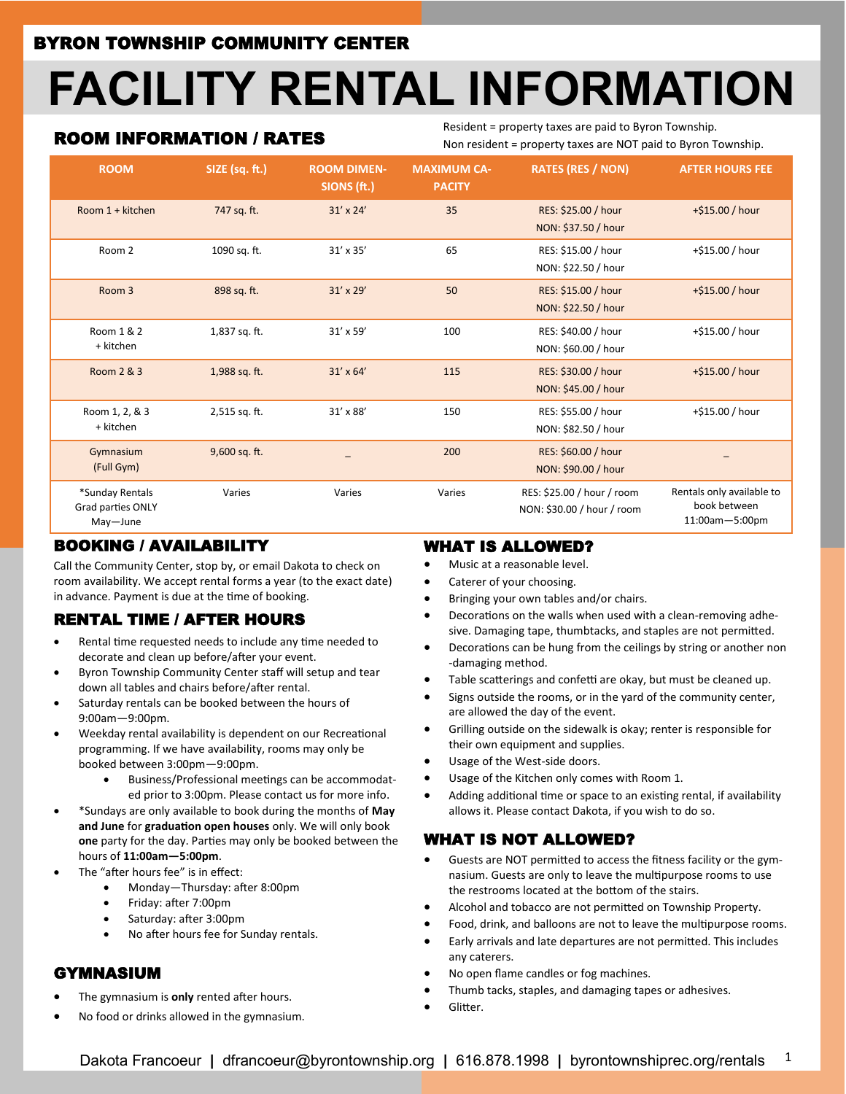# **FACILITY RENTAL INFORMATION**

## ROOM INFORMATION / RATES

Resident = property taxes are paid to Byron Township. Non resident = property taxes are NOT paid to Byron Township.

| <b>ROOM</b>                                      | SIZE (sq. ft.) | <b>ROOM DIMEN-</b><br>SIONS (ft.) | <b>MAXIMUM CA-</b><br><b>PACITY</b> | <b>RATES (RES / NON)</b>                                 | <b>AFTER HOURS FEE</b>                                      |
|--------------------------------------------------|----------------|-----------------------------------|-------------------------------------|----------------------------------------------------------|-------------------------------------------------------------|
| Room 1 + kitchen                                 | 747 sq. ft.    | $31' \times 24'$                  | 35                                  | RES: \$25.00 / hour<br>NON: \$37.50 / hour               | +\$15.00 / hour                                             |
| Room 2                                           | 1090 sq. ft.   | $31' \times 35'$                  | 65                                  | RES: \$15.00 / hour<br>NON: \$22.50 / hour               | +\$15.00 / hour                                             |
| Room <sub>3</sub>                                | 898 sq. ft.    | $31' \times 29'$                  | 50                                  | RES: \$15.00 / hour<br>NON: \$22.50 / hour               | +\$15.00 / hour                                             |
| Room 1 & 2<br>+ kitchen                          | 1,837 sq. ft.  | $31' \times 59'$                  | 100                                 | RES: \$40.00 / hour<br>NON: \$60.00 / hour               | +\$15.00 / hour                                             |
| Room 2 & 3                                       | 1,988 sq. ft.  | $31' \times 64'$                  | 115                                 | RES: \$30.00 / hour<br>NON: \$45.00 / hour               | $+ $15.00 / hour$                                           |
| Room 1, 2, & 3<br>+ kitchen                      | 2,515 sq. ft.  | $31' \times 88'$                  | 150                                 | RES: \$55.00 / hour<br>NON: \$82.50 / hour               | +\$15.00 / hour                                             |
| Gymnasium<br>(Full Gym)                          | 9,600 sq. ft.  |                                   | 200                                 | RES: \$60.00 / hour<br>NON: \$90.00 / hour               |                                                             |
| *Sunday Rentals<br>Grad parties ONLY<br>May-June | Varies         | Varies                            | Varies                              | RES: \$25.00 / hour / room<br>NON: \$30.00 / hour / room | Rentals only available to<br>book between<br>11:00am-5:00pm |

#### BOOKING / AVAILABILITY

Call the Community Center, stop by, or email Dakota to check on room availability. We accept rental forms a year (to the exact date) in advance. Payment is due at the time of booking.

# RENTAL TIME / AFTER HOURS

- Rental time requested needs to include any time needed to decorate and clean up before/after your event.
- Byron Township Community Center staff will setup and tear down all tables and chairs before/after rental.
- Saturday rentals can be booked between the hours of 9:00am—9:00pm.
- Weekday rental availability is dependent on our Recreational programming. If we have availability, rooms may only be booked between 3:00pm—9:00pm.
	- Business/Professional meetings can be accommodated prior to 3:00pm. Please contact us for more info.
- \*Sundays are only available to book during the months of **May and June** for **graduation open houses** only. We will only book **one** party for the day. Parties may only be booked between the hours of **11:00am—5:00pm**.
- The "after hours fee" is in effect:
	- Monday—Thursday: after 8:00pm
	- Friday: after 7:00pm
	- Saturday: after 3:00pm
	- No after hours fee for Sunday rentals.

#### GYMNASIUM

- The gymnasium is **only** rented after hours.
- No food or drinks allowed in the gymnasium.

#### WHAT IS ALLOWED?

- Music at a reasonable level.
- Caterer of your choosing.
- Bringing your own tables and/or chairs.
- Decorations on the walls when used with a clean-removing adhesive. Damaging tape, thumbtacks, and staples are not permitted.
- Decorations can be hung from the ceilings by string or another non -damaging method.
- Table scatterings and confetti are okay, but must be cleaned up.
- Signs outside the rooms, or in the yard of the community center, are allowed the day of the event.
- Grilling outside on the sidewalk is okay; renter is responsible for their own equipment and supplies.
- Usage of the West-side doors.
- Usage of the Kitchen only comes with Room 1.
- Adding additional time or space to an existing rental, if availability allows it. Please contact Dakota, if you wish to do so.

## WHAT IS NOT ALLOWED?

- Guests are NOT permitted to access the fitness facility or the gymnasium. Guests are only to leave the multipurpose rooms to use the restrooms located at the bottom of the stairs.
- Alcohol and tobacco are not permitted on Township Property.
- Food, drink, and balloons are not to leave the multipurpose rooms.
- Early arrivals and late departures are not permitted. This includes any caterers.
- No open flame candles or fog machines.
- Thumb tacks, staples, and damaging tapes or adhesives.
- Glitter.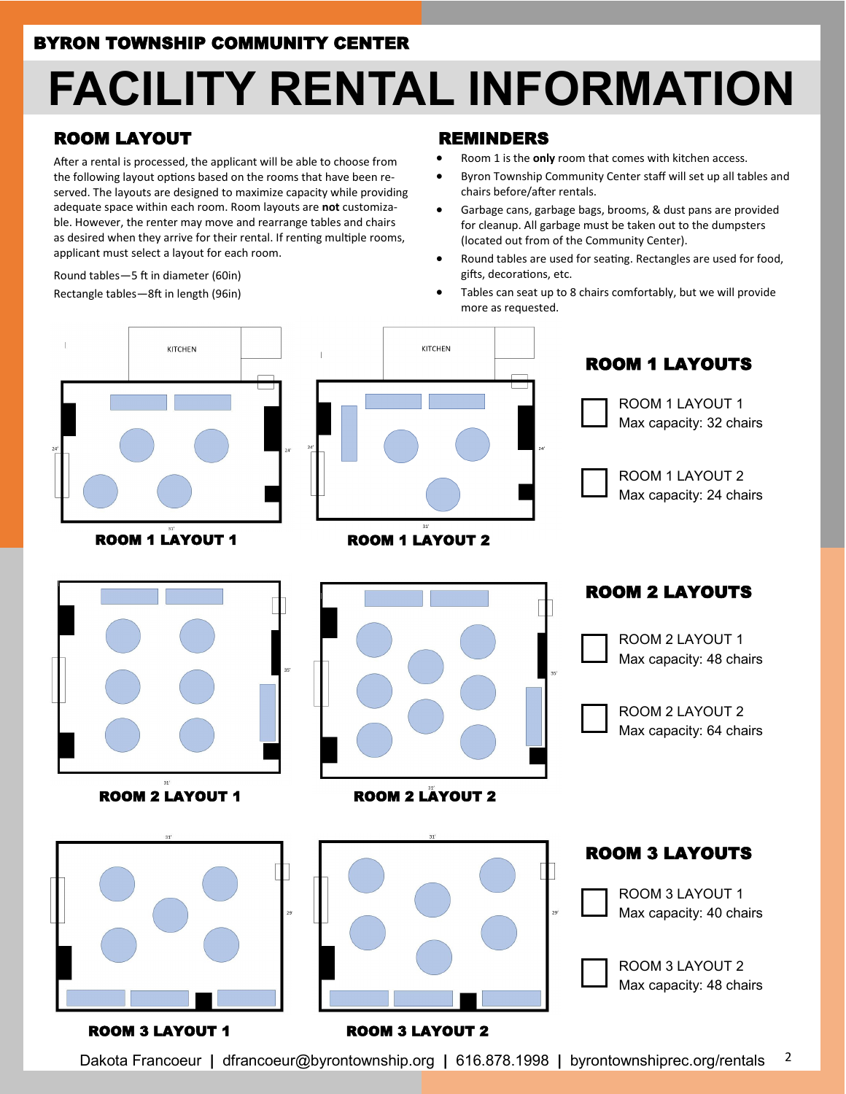# **FACILITY RENTAL INFORMATION**

# ROOM LAYOUT

After a rental is processed, the applicant will be able to choose from the following layout options based on the rooms that have been reserved. The layouts are designed to maximize capacity while providing adequate space within each room. Room layouts are **not** customizable. However, the renter may move and rearrange tables and chairs as desired when they arrive for their rental. If renting multiple rooms, applicant must select a layout for each room.

Round tables—5 ft in diameter (60in) Rectangle tables—8ft in length (96in)

#### REMINDERS

- Room 1 is the **only** room that comes with kitchen access.
- Byron Township Community Center staff will set up all tables and chairs before/after rentals.
- Garbage cans, garbage bags, brooms, & dust pans are provided for cleanup. All garbage must be taken out to the dumpsters (located out from of the Community Center).
- Round tables are used for seating. Rectangles are used for food, gifts, decorations, etc.
- Tables can seat up to 8 chairs comfortably, but we will provide more as requested.